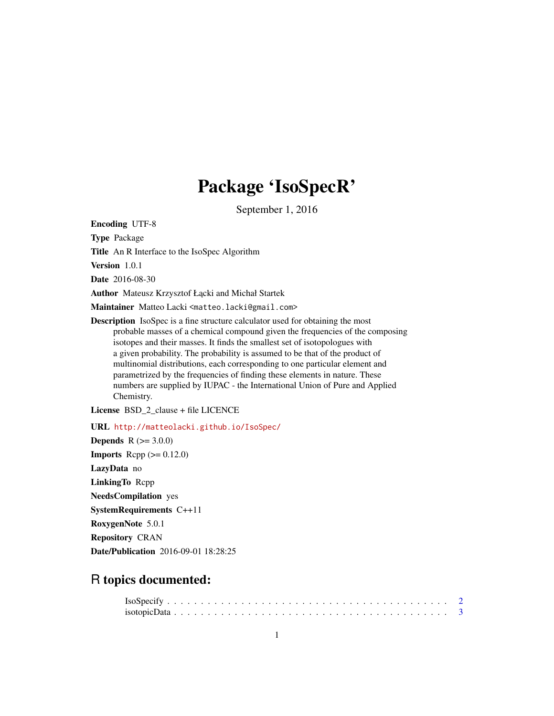## Package 'IsoSpecR'

September 1, 2016

Encoding UTF-8

Type Package

Title An R Interface to the IsoSpec Algorithm

Version 1.0.1

Date 2016-08-30

Author Mateusz Krzysztof Łącki and Michał Startek

Maintainer Matteo Lacki <matteo.lacki@gmail.com>

Description IsoSpec is a fine structure calculator used for obtaining the most probable masses of a chemical compound given the frequencies of the composing isotopes and their masses. It finds the smallest set of isotopologues with a given probability. The probability is assumed to be that of the product of multinomial distributions, each corresponding to one particular element and parametrized by the frequencies of finding these elements in nature. These numbers are supplied by IUPAC - the International Union of Pure and Applied Chemistry.

License BSD\_2\_clause + file LICENCE

URL <http://matteolacki.github.io/IsoSpec/> **Depends**  $R (= 3.0.0)$ **Imports** Rcpp  $(>= 0.12.0)$ LazyData no LinkingTo Rcpp NeedsCompilation yes SystemRequirements C++11 RoxygenNote 5.0.1 Repository CRAN Date/Publication 2016-09-01 18:28:25

### R topics documented: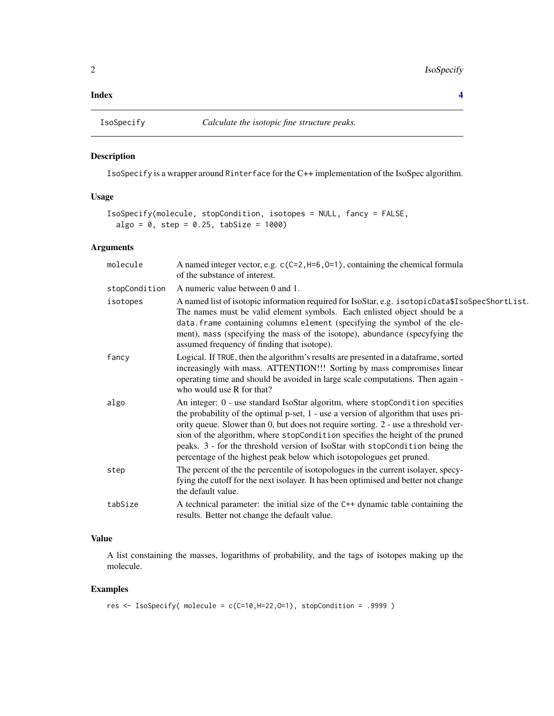#### <span id="page-1-0"></span>**Index** [4](#page-3-0)

#### Description

IsoSpecify is a wrapper around Rinterface for the C++ implementation of the IsoSpec algorithm.

#### Usage

```
IsoSpecify(molecule, stopCondition, isotopes = NULL, fancy = FALSE,
algo = 0, step = 0.25, tabSize = 1000)
```
#### Arguments

| molecule      | A named integer vector, e.g. c(C=2, H=6, 0=1), containing the chemical formula<br>of the substance of interest.                                                                                                                                                                                                                                                                                                                                                                                    |
|---------------|----------------------------------------------------------------------------------------------------------------------------------------------------------------------------------------------------------------------------------------------------------------------------------------------------------------------------------------------------------------------------------------------------------------------------------------------------------------------------------------------------|
| stopCondition | A numeric value between 0 and 1.                                                                                                                                                                                                                                                                                                                                                                                                                                                                   |
| isotopes      | A named list of isotopic information required for IsoStar, e.g. isotopicData\$IsoSpecShortList.<br>The names must be valid element symbols. Each enlisted object should be a<br>data. frame containing columns element (specifying the symbol of the ele-<br>ment), mass (specifying the mass of the isotope), abundance (specyfying the<br>assumed frequency of finding that isotope).                                                                                                            |
| fancy         | Logical. If TRUE, then the algorithm's results are presented in a dataframe, sorted<br>increasingly with mass. ATTENTION!!! Sorting by mass compromises linear<br>operating time and should be avoided in large scale computations. Then again -<br>who would use R for that?                                                                                                                                                                                                                      |
| algo          | An integer: 0 - use standard IsoStar algoritm, where stopCondition specifies<br>the probability of the optimal p-set, 1 - use a version of algorithm that uses pri-<br>ority queue. Slower than 0, but does not require sorting. 2 - use a threshold ver-<br>sion of the algorithm, where stopCondition specifies the height of the pruned<br>peaks. 3 - for the threshold version of IsoStar with stopCondition being the<br>percentage of the highest peak below which isotopologues get pruned. |
| step          | The percent of the the percentile of isotopologues in the current isolayer, specy-<br>fying the cutoff for the next isolayer. It has been optimised and better not change<br>the default value.                                                                                                                                                                                                                                                                                                    |
| tabSize       | A technical parameter: the initial size of the C++ dynamic table containing the<br>results. Better not change the default value.                                                                                                                                                                                                                                                                                                                                                                   |

#### Value

A list constaining the masses, logarithms of probability, and the tags of isotopes making up the molecule.

#### Examples

res  $\le$  IsoSpecify( molecule = c(C=10, H=22, O=1), stopCondition = .9999)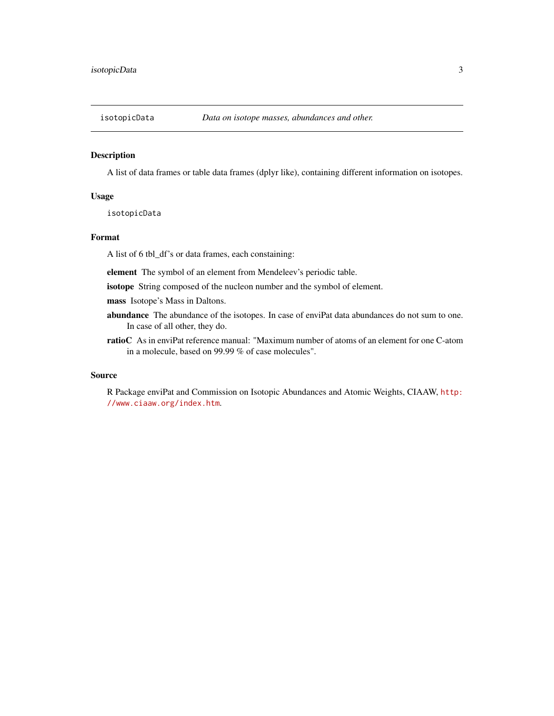<span id="page-2-0"></span>

#### Description

A list of data frames or table data frames (dplyr like), containing different information on isotopes.

#### Usage

isotopicData

#### Format

A list of 6 tbl\_df's or data frames, each constaining:

element The symbol of an element from Mendeleev's periodic table.

isotope String composed of the nucleon number and the symbol of element.

mass Isotope's Mass in Daltons.

- abundance The abundance of the isotopes. In case of enviPat data abundances do not sum to one. In case of all other, they do.
- ratioC As in enviPat reference manual: "Maximum number of atoms of an element for one C-atom in a molecule, based on 99.99 % of case molecules".

#### Source

R Package enviPat and Commission on Isotopic Abundances and Atomic Weights, CIAAW, [http:](http://www.ciaaw.org/index.htm) [//www.ciaaw.org/index.htm](http://www.ciaaw.org/index.htm).